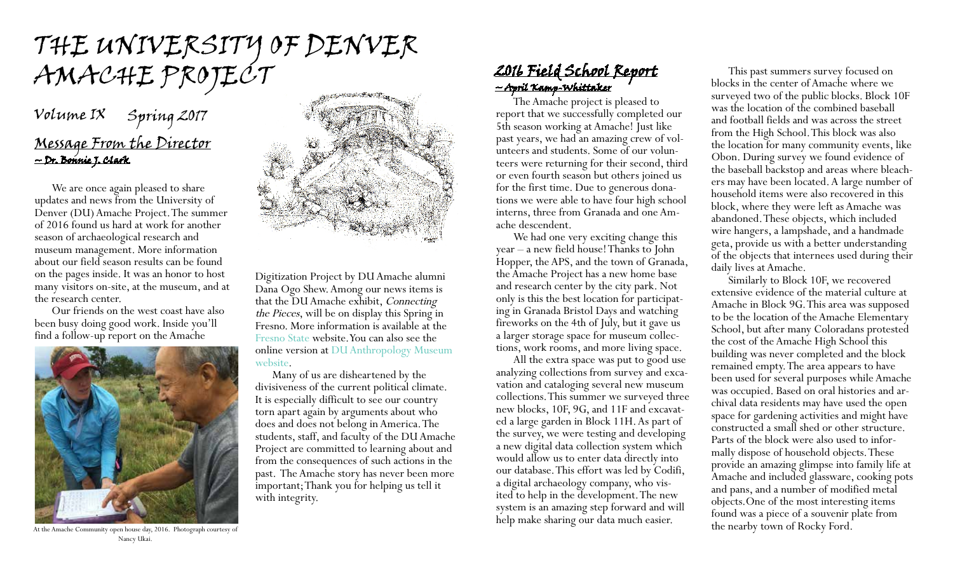# the university of denver AMACHE PROJECT

## Message From the Director ~ Dr. Bonnie J. Clark Volume IX Spring 2017

We are once again pleased to share updates and news from the University of Denver (DU) Amache Project. The summer of 2016 found us hard at work for another season of archaeological research and museum management. More information about our field season results can be found on the pages inside. It was an honor to host many visitors on-site, at the museum, and at the research center.

Our friends on the west coast have also been busy doing good work. Inside you'll find a follow-up report on the Amache



At the Amache Community open house day, 2016. Photograph courtesy of Nancy Ukai.



Digitization Project by DU Amache alumni Dana Ogo Shew. Among our news items is that the DU Amache exhibit, Connecting the Pieces, will be on display this Spring in Fresno. More information is available at the [Fresno State](https://library.fresnostate.edu/content/9066-exhibition) website. You can also see the online version at [DU Anthropology Museum](http://www.du.edu/ahss/anthropology/museum/exhibits/virtualexhibits/amache/index.html)  [website](http://www.du.edu/ahss/anthropology/museum/exhibits/virtualexhibits/amache/index.html).

Many of us are disheartened by the divisiveness of the current political climate. It is especially difficult to see our country torn apart again by arguments about who does and does not belong in America. The students, staff, and faculty of the DU Amache Project are committed to learning about and from the consequences of such actions in the past. The Amache story has never been more important; Thank you for helping us tell it with integrity.

### 2016 Field School Report ~ April Kamp-Whittaker

The Amache project is pleased to report that we successfully completed our 5th season working at Amache! Just like<br>past years, we had an amazing crew of volunteers and students. Some of our volun-<br>teers were returning for their second, third or even fourth season but others joined us for the first time. Due to generous dona- tions we were able to have four high school interns, three from Granada and one Am- ache descendent.

We had one very exciting change this year – a new field house! Thanks to John Hopper, the APS, and the town of Granada, the Amache Project has a new home base and research center by the city park. Not only is this the best location for participating in Granada Bristol Days and watching fireworks on the 4th of July, but it gave us a larger storage space for museum collections, work rooms, and more living space.

All the extra space was put to good use analyzing collections from survey and exca- vation and cataloging several new museum collections. This summer we surveyed three new blocks, 10F, 9G, and 11F and excavated a large garden in Block 11H. As part of the survey, we were testing and developing a new digital data collection system which would allow us to enter data directly into our database. This effort was led by Codifi, a digital archaeology company, who visited to help in the development. The new system is an amazing step forward and will help make sharing our data much easier.

This past summers survey focused on blocks in the center of Amache where we surveyed two of the public blocks. Block 10F was the location of the combined baseball and football fields and was across the street from the High School. This block was also the location for many community events, like Obon. During survey we found evidence of<br>the baseball backstop and areas where bleachers may have been located. A large number of household items were also recovered in this block, where they were left as Amache was abandoned. These objects, which included wire hangers, a lampshade, and a handmade geta, provide us with a better understanding of the objects that internees used during their daily lives at Amache.

Similarly to Block 10F, we recovered extensive evidence of the material culture at Amache in Block 9G. This area was supposed to be the location of the Amache Elementary School, but after many Coloradans protested the cost of the Amache High School this building was never completed and the block remained empty. The area appears to have been used for several purposes while Amache was occupied. Based on oral histories and archival data residents may have used the open space for gardening activities and might have constructed a small shed or other structure. Parts of the block were also used to informally dispose of household objects. These provide an amazing glimpse into family life at Amache and included glassware, cooking pots and pans, and a number of modified metal objects.One of the most interesting items found was a piece of a souvenir plate from the nearby town of Rocky Ford.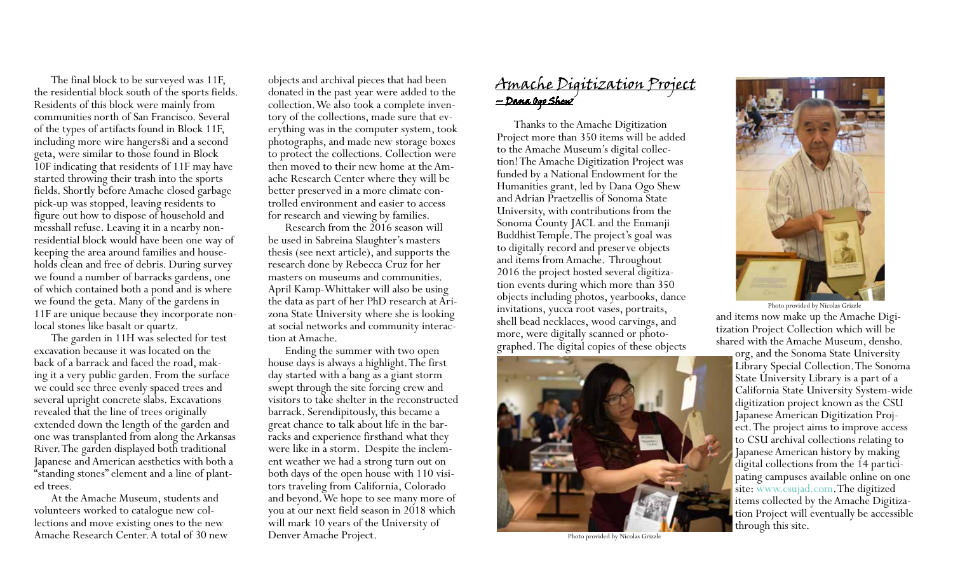The final block to be surveyed was 11F, the residential block south of the sports fields. Residents of this block were mainly from communities north of San Francisco. Several of the types of artifacts found in Block 11F, including more wire hangers8i and a second geta, were similar to those found in Block 10F indicating that residents of 11F may have started throwing their trash into the sports fields. Shortly before Amache closed garbage pick-up was stopped, leaving residents to figure out how to dispose of household and messhall refuse. Leaving it in a nearby non-<br>residential block would have been one way of<br>keeping the area around families and households clean and free of debris. During survey we found a number of barracks gardens, one of which contained both a pond and is where we found the geta. Many of the gardens in 11F are unique because they incorporate nonlocal stones like basalt or quartz.

The garden in 11H was selected for test excavation because it was located on the back of a barrack and faced the road, making it a very public garden. From the surface we could see three evenly spaced trees and several upright concrete slabs. Excavations revealed that the line of trees originally extended down the length of the garden and one was transplanted from along the Arkansas River. The garden displayed both traditional Japanese and American aesthetics with both a "standing stones" element and a line of plant- ed trees.

At the Amache Museum, students and volunteers worked to catalogue new col- lections and move existing ones to the new Amache Research Center. A total of 30 new

objects and archival pieces that had been donated in the past year were added to the collection. We also took a complete inven-<br>tory of the collections, made sure that ev-<br>erything was in the computer system, took photographs, and made new storage boxes to protect the collections. Collection were<br>then moved to their new home at the Amache Research Center where they will be better preserved in a more climate con- trolled environment and easier to access for research and viewing by families.

Research from the 2016 season will be used in Sabreina Slaughter's masters thesis (see next article), and supports the research done by Rebecca Cruz for her masters on museums and communities. April Kamp-Whittaker will also be using the data as part of her PhD research at Arizona State University where she is looking at social networks and community interaction at Amache.

Ending the summer with two open house days is always a highlight. The first day started with a bang as a giant storm swept through the site forcing crew and visitors to take shelter in the reconstructed barrack. Serendipitously, this became a great chance to talk about life in the bar- racks and experience firsthand what they were like in a storm. Despite the inclem-<br>ent weather we had a strong turn out on<br>both days of the open house with 110 visitors traveling from California, Colorado and beyond. We hope to see many more of you at our next field season in 2018 which will mark 10 years of the University of Denver Amache Project.

### Amache Digitization Project ~ Dana Ogo Shew

Thanks to the Amache Digitization Project more than 350 items will be added to the Amache Museum's digital collection! The Amache Digitization Project was funded by a National Endowment for the Humanities grant, led by Dana Ogo Shew and Adrian Praetzellis of Sonoma State University, with contributions from the Sonoma County JACL and the Enmanji Buddhist Temple. The project's goal was to digitally record and preserve objects and items from Amache. Throughout 2016 the project hosted several digitization events during which more than 350 objects including photos, yearbooks, dance invitations, yucca root vases, portraits, shell bead necklaces, wood carvings, and more, were digitally scanned or photographed. The digital copies of these objects



Photo provided by Nicolas Grizzle



and items now make up the Amache Digitization Project Collection which will be shared with the Amache Museum, densho. Photo provided by Nicolas Grizzle

org, and the Sonoma State University Library Special Collection. The Sonoma State University Library is a part of a California State University System-wide digitization project known as the CSU Japanese American Digitization Project. The project aims to improve access to CSU archival collections relating to Japanese American history by making digital collections from the 14 participating campuses available online on one site: <www.csujad.com>. The digitized items collected by the Amache Digitization Project will eventually be accessible through this site.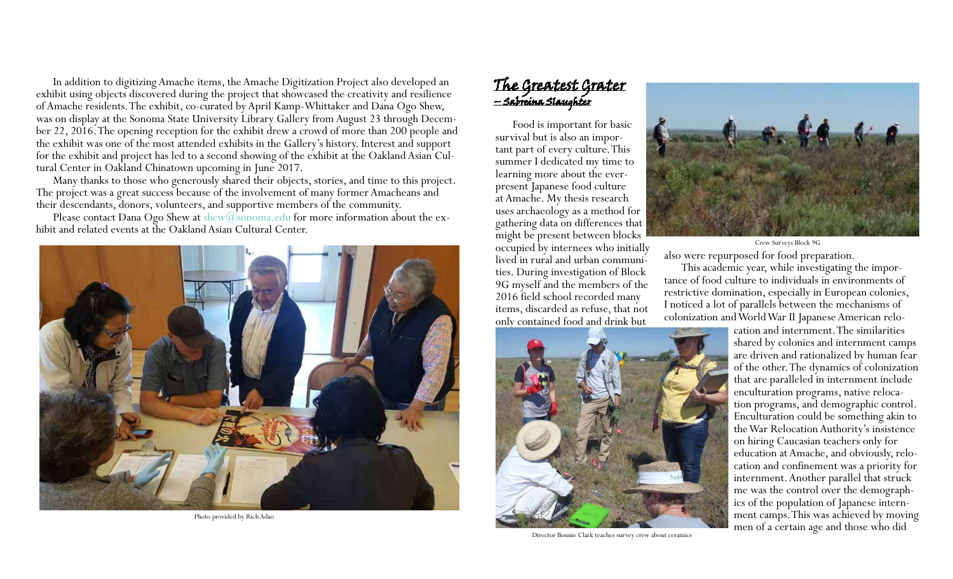In addition to digitizing Amache items, the Amache Digitization Project also developed an exhibit using objects discovered during the project that showcased the creativity and resilience of Amache residents. The exhibit, co-curated by April Kamp-Whittaker and Dana Ogo Shew, was on display at the Sonoma State University Library Gallery from August 23 through December 22, 2016. The opening reception for the exhibit drew a crowd of more than 200 people and the exhibit was one of the most attended exhibits in the Gallery's history. Interest and support for the exhibit and project has led to a second showing of the exhibit at the Oakland Asian Cultural Center in Oakland Chinatown upcoming in June 2017.

Many thanks to those who generously shared their objects, stories, and time to this project. The project was a great success because of the involvement of many former Amacheans and their descendants, donors, volunteers, and supportive members of the community.

Please contact Dana Ogo Shew at  $\text{show}(\widehat{a}_s$ sonoma.edu for more information about the exhibit and related events at the Oakland Asian Cultural Center.



Photo provided by Rich Adao

#### The Greatest Grater ~ Sabreina Slaughter

Food is important for basic survival but is also an important part of every culture. This summer I dedicated my time to learning more about the everpresent Japanese food culture at Amache. My thesis research uses archaeology as a method for gathering data on differences that might be present between blocks occupied by internees who initially lived in rural and urban communities. During investigation of Block 9G myself and the members of the 2016 field school recorded many items, discarded as refuse, that not



Director Bonnie Clark teaches survey crew about ceramics



also were repurposed for food preparation. Crew Surveys Block 9G

This academic year, while investigating the importance of food culture to individuals in environments of restrictive domination, especially in European colonies, I noticed a lot of parallels between the mechanisms of colonization and World War II Japanese American relo-

> cation and internment. The similarities shared by colonies and internment camps are driven and rationalized by human fear of the other. The dynamics of colonization that are paralleled in internment include enculturation programs, native relocation programs, and demographic control. Enculturation could be something akin to the War Relocation Authority's insistence on hiring Caucasian teachers only for education at Amache, and obviously, relocation and confinement was a priority for internment. Another parallel that struck me was the control over the demographics of the population of Japanese internment camps. This was achieved by moving men of a certain age and those who did